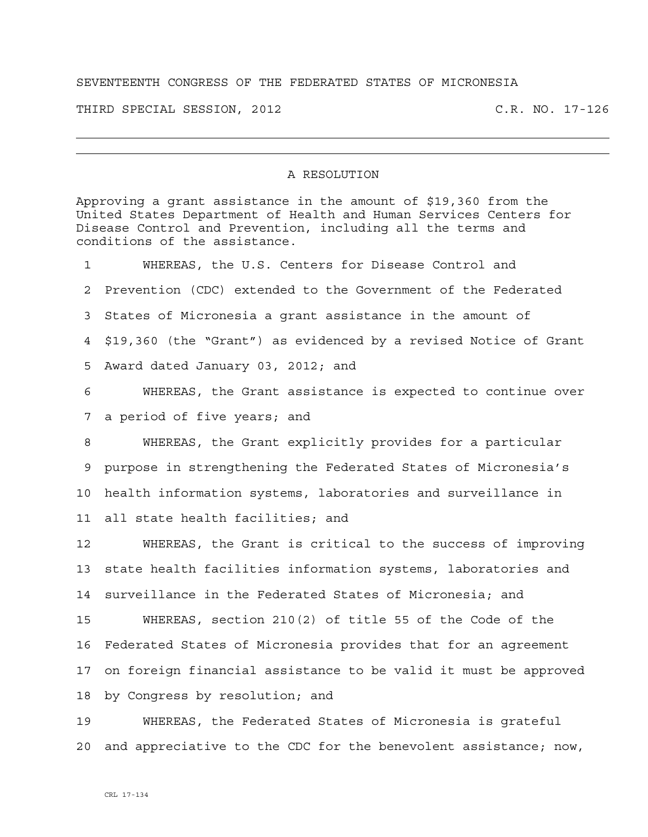## SEVENTEENTH CONGRESS OF THE FEDERATED STATES OF MICRONESIA

THIRD SPECIAL SESSION, 2012 C.R. NO. 17-126

## A RESOLUTION

Approving a grant assistance in the amount of \$19,360 from the United States Department of Health and Human Services Centers for Disease Control and Prevention, including all the terms and conditions of the assistance. 1 WHEREAS, the U.S. Centers for Disease Control and 2 Prevention (CDC) extended to the Government of the Federated 3 States of Micronesia a grant assistance in the amount of 4 \$19,360 (the "Grant") as evidenced by a revised Notice of Grant 5 Award dated January 03, 2012; and 6 WHEREAS, the Grant assistance is expected to continue over 7 a period of five years; and 8 WHEREAS, the Grant explicitly provides for a particular 9 purpose in strengthening the Federated States of Micronesia's 10 health information systems, laboratories and surveillance in 11 all state health facilities; and 12 WHEREAS, the Grant is critical to the success of improving 13 state health facilities information systems, laboratories and 14 surveillance in the Federated States of Micronesia; and 15 WHEREAS, section 210(2) of title 55 of the Code of the 16 Federated States of Micronesia provides that for an agreement 17 on foreign financial assistance to be valid it must be approved 18 by Congress by resolution; and 19 WHEREAS, the Federated States of Micronesia is grateful

20 and appreciative to the CDC for the benevolent assistance; now,